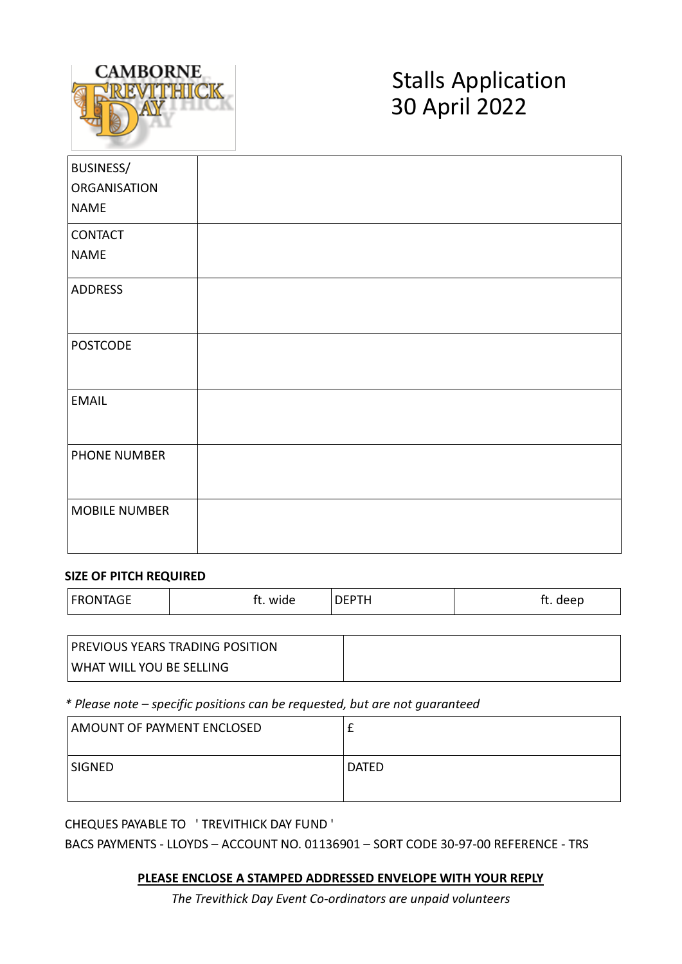

# Stalls Application 30 April 2022

| BUSINESS/            |  |
|----------------------|--|
| <b>ORGANISATION</b>  |  |
| <b>NAME</b>          |  |
| CONTACT              |  |
| <b>NAME</b>          |  |
| <b>ADDRESS</b>       |  |
| <b>POSTCODE</b>      |  |
| <b>EMAIL</b>         |  |
| PHONE NUMBER         |  |
| <b>MOBILE NUMBER</b> |  |

#### **SIZE OF PITCH REQUIRED**

| <b>FRONTAGE</b> | wide<br>ι. | DEPTH | deep<br>. .<br>. |
|-----------------|------------|-------|------------------|
|-----------------|------------|-------|------------------|

| <b>PREVIOUS YEARS TRADING POSITION</b> |  |
|----------------------------------------|--|
| <b>WHAT WILL YOU BE SELLING</b>        |  |

*\* Please note – specific positions can be requested, but are not guaranteed*

| AMOUNT OF PAYMENT ENCLOSED |       |
|----------------------------|-------|
| SIGNED                     | DATED |

CHEQUES PAYABLE TO ' TREVITHICK DAY FUND '

BACS PAYMENTS - LLOYDS – ACCOUNT NO. 01136901 – SORT CODE 30-97-00 REFERENCE - TRS

#### **PLEASE ENCLOSE A STAMPED ADDRESSED ENVELOPE WITH YOUR REPLY**

*The Trevithick Day Event Co-ordinators are unpaid volunteers*